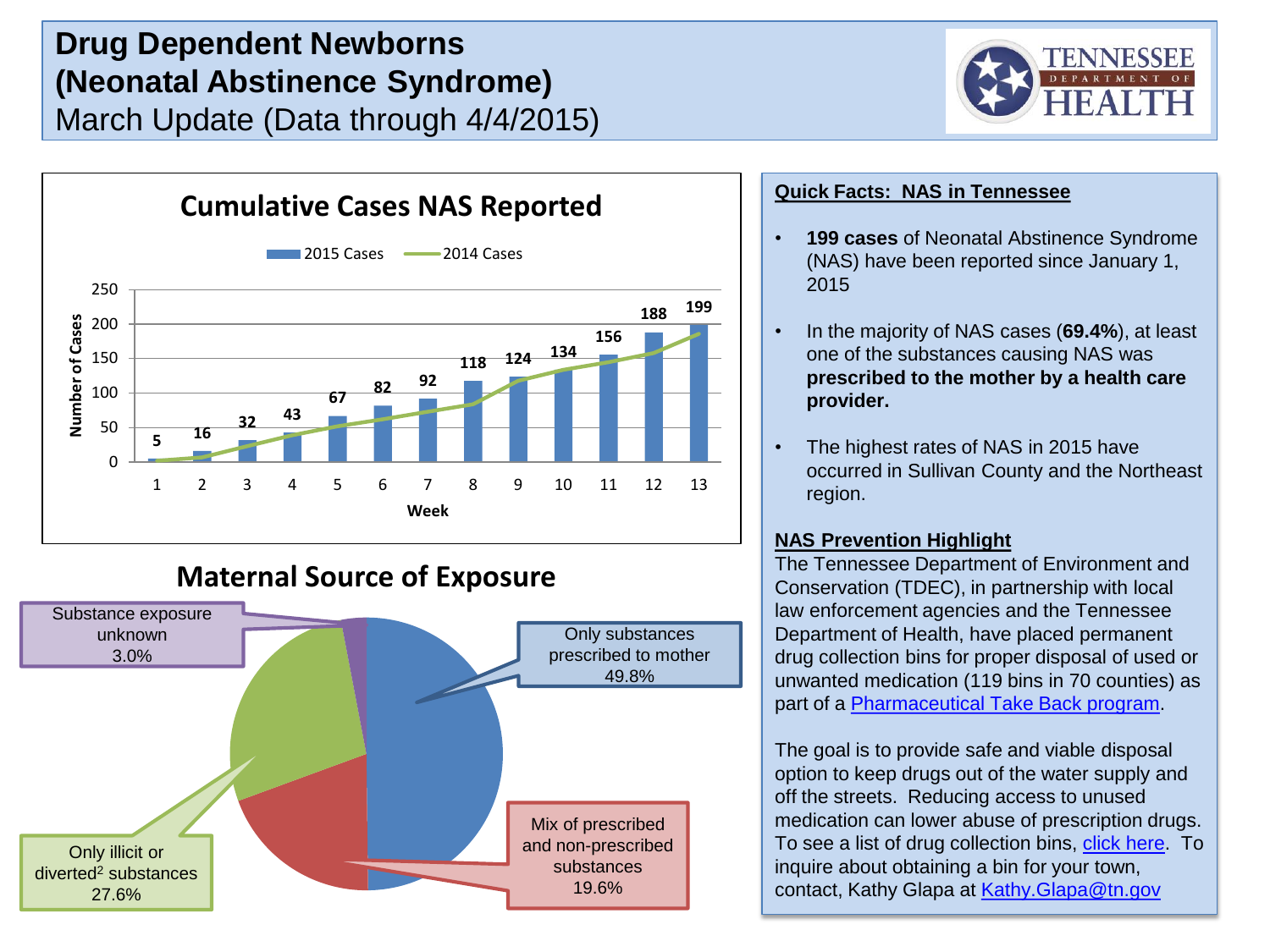# **Drug Dependent Newborns (Neonatal Abstinence Syndrome)** March Update (Data through 4/4/2015)





**Maternal Source of Exposure**



### **Quick Facts: NAS in Tennessee**

- **199 cases** of Neonatal Abstinence Syndrome (NAS) have been reported since January 1, 2015
- In the majority of NAS cases (**69.4%**), at least one of the substances causing NAS was **prescribed to the mother by a health care provider.**
- The highest rates of NAS in 2015 have occurred in Sullivan County and the Northeast region.

### **NAS Prevention Highlight**

The Tennessee Department of Environment and Conservation (TDEC), in partnership with local law enforcement agencies and the Tennessee Department of Health, have placed permanent drug collection bins for proper disposal of used or unwanted medication (119 bins in 70 counties) as part of a [Pharmaceutical Take Back program.](http://www.tennessee.gov/environment/sustainable-practices_unwanted-prescriptions.shtml)

The goal is to provide safe and viable disposal option to keep drugs out of the water supply and off the streets. Reducing access to unused medication can lower abuse of prescription drugs. To see a list of drug collection bins, [click here](http://www.tennessee.gov/environment/docs/sustainable-practices/unwanted_rx_locations.pdf). To inquire about obtaining a bin for your town, contact, Kathy Glapa at [Kathy.Glapa@tn.gov](mailto:Kathy.Glapa@tn.gov)